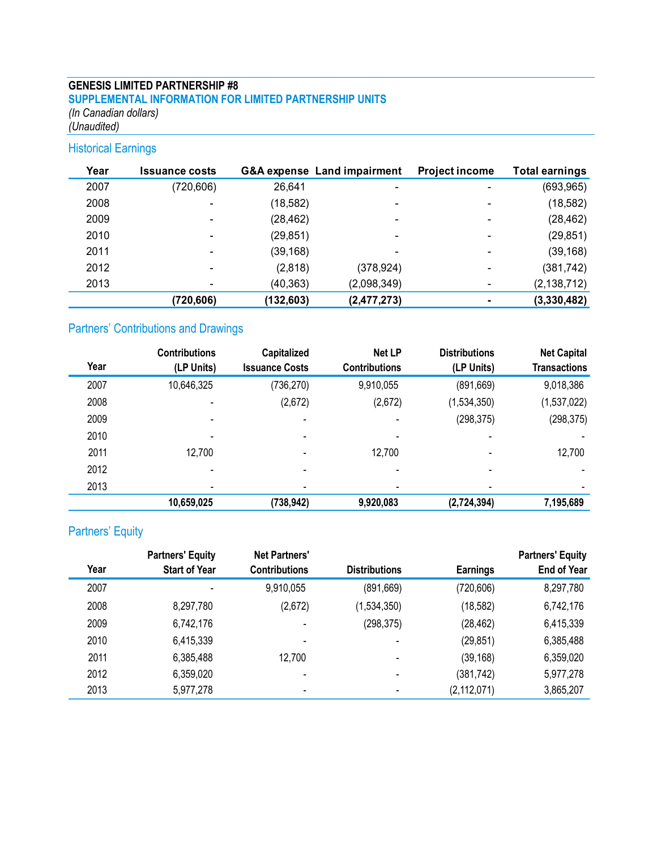### **GENESIS LIMITED PARTNERSHIP #8 SUPPLEMENTAL INFORMATION FOR LIMITED PARTNERSHIP UNITS** *(In Canadian dollars) (Unaudited)*

# Historical Earnings

| Year | <b>Issuance costs</b>    |           | <b>G&amp;A expense Land impairment</b> | <b>Project income</b>    | <b>Total earnings</b> |
|------|--------------------------|-----------|----------------------------------------|--------------------------|-----------------------|
| 2007 | (720, 606)               | 26,641    |                                        |                          | (693, 965)            |
| 2008 | $\overline{\phantom{0}}$ | (18, 582) | $\overline{\phantom{a}}$               |                          | (18, 582)             |
| 2009 | -                        | (28, 462) |                                        |                          | (28, 462)             |
| 2010 | -                        | (29, 851) |                                        |                          | (29, 851)             |
| 2011 |                          | (39, 168) |                                        | $\overline{\phantom{a}}$ | (39, 168)             |
| 2012 | -                        | (2,818)   | (378, 924)                             | $\overline{\phantom{a}}$ | (381, 742)            |
| 2013 |                          | (40, 363) | (2,098,349)                            |                          | (2, 138, 712)         |
|      | (720, 606)               | (132,603) | (2,477,273)                            |                          | (3,330,482)           |

# Partners' Contributions and Drawings

|      | <b>Contributions</b>     | Capitalized           | Net LP                   | <b>Distributions</b>     | <b>Net Capital</b>       |
|------|--------------------------|-----------------------|--------------------------|--------------------------|--------------------------|
| Year | (LP Units)               | <b>Issuance Costs</b> | <b>Contributions</b>     | (LP Units)               | <b>Transactions</b>      |
| 2007 | 10,646,325               | (736, 270)            | 9,910,055                | (891, 669)               | 9,018,386                |
| 2008 | $\blacksquare$           | (2,672)               | (2,672)                  | (1,534,350)              | (1,537,022)              |
| 2009 | $\overline{\phantom{a}}$ | $\blacksquare$        | ۰                        | (298, 375)               | (298, 375)               |
| 2010 | $\blacksquare$           | $\blacksquare$        | $\overline{\phantom{0}}$ | $\overline{\phantom{0}}$ |                          |
| 2011 | 12,700                   |                       | 12,700                   |                          | 12,700                   |
| 2012 | $\overline{\phantom{a}}$ | $\,$                  | $\overline{\phantom{0}}$ | $\overline{\phantom{a}}$ |                          |
| 2013 | $\blacksquare$           |                       | -                        | $\overline{\phantom{0}}$ | $\overline{\phantom{a}}$ |
|      | 10,659,025               | (738, 942)            | 9,920,083                | (2,724,394)              | 7,195,689                |

# Partners' Equity

|      | <b>Partners' Equity</b> | <b>Net Partners'</b>     |                          |                 | <b>Partners' Equity</b> |
|------|-------------------------|--------------------------|--------------------------|-----------------|-------------------------|
| Year | <b>Start of Year</b>    | <b>Contributions</b>     | <b>Distributions</b>     | <b>Earnings</b> | <b>End of Year</b>      |
| 2007 | $\blacksquare$          | 9,910,055                | (891, 669)               | (720, 606)      | 8,297,780               |
| 2008 | 8,297,780               | (2,672)                  | (1,534,350)              | (18, 582)       | 6,742,176               |
| 2009 | 6,742,176               |                          | (298, 375)               | (28, 462)       | 6,415,339               |
| 2010 | 6,415,339               | $\blacksquare$           |                          | (29, 851)       | 6,385,488               |
| 2011 | 6,385,488               | 12,700                   | $\overline{\phantom{0}}$ | (39, 168)       | 6,359,020               |
| 2012 | 6,359,020               |                          | $\blacksquare$           | (381,742)       | 5,977,278               |
| 2013 | 5,977,278               | $\overline{\phantom{0}}$ | -                        | (2, 112, 071)   | 3,865,207               |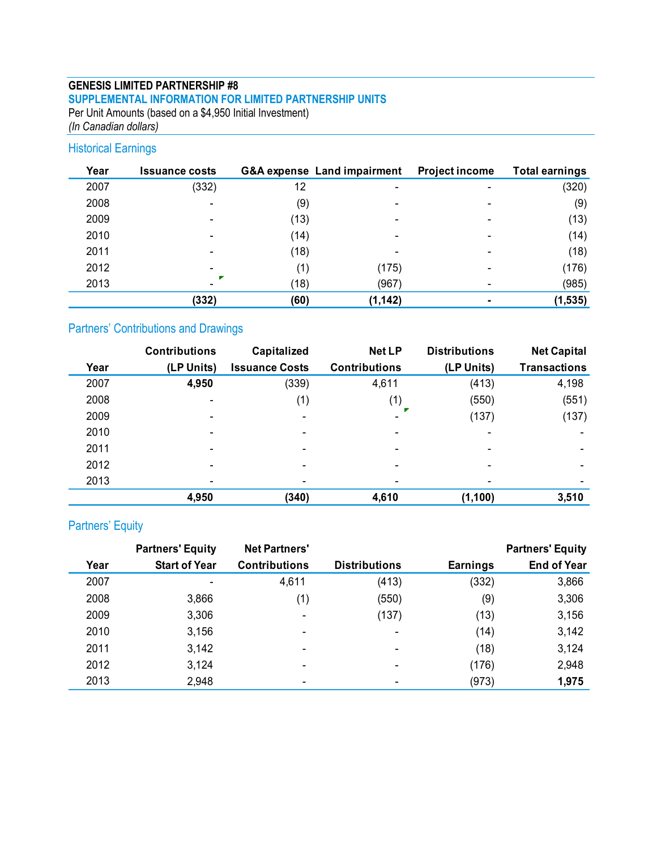### **GENESIS LIMITED PARTNERSHIP #8 SUPPLEMENTAL INFORMATION FOR LIMITED PARTNERSHIP UNITS** Per Unit Amounts (based on a \$4,950 Initial Investment)

*(In Canadian dollars)*

## Historical Earnings

| Year | <b>Issuance costs</b>    |      | <b>G&amp;A expense Land impairment</b> | <b>Project income</b> | <b>Total earnings</b> |
|------|--------------------------|------|----------------------------------------|-----------------------|-----------------------|
| 2007 | (332)                    | 12   |                                        |                       | (320)                 |
| 2008 | $\overline{\phantom{a}}$ | (9)  |                                        |                       | (9)                   |
| 2009 |                          | (13) |                                        |                       | (13)                  |
| 2010 | $\overline{\phantom{a}}$ | (14) |                                        |                       | (14)                  |
| 2011 | -                        | (18) |                                        | $\,$                  | (18)                  |
| 2012 |                          |      | (175)                                  |                       | (176)                 |
| 2013 |                          | (18) | (967)                                  |                       | (985)                 |
|      | (332)                    | (60) | (1, 142)                               |                       | (1, 535)              |

# Partners' Contributions and Drawings

|      | <b>Contributions</b>         | Capitalized           | <b>Net LP</b>        | <b>Distributions</b> | <b>Net Capital</b>       |
|------|------------------------------|-----------------------|----------------------|----------------------|--------------------------|
| Year | (LP Units)                   | <b>Issuance Costs</b> | <b>Contributions</b> | (LP Units)           | <b>Transactions</b>      |
| 2007 | 4,950                        | (339)                 | 4,611                | (413)                | 4,198                    |
| 2008 |                              | (1)                   | (1)                  | (550)                | (551)                    |
| 2009 | $\blacksquare$               | $\blacksquare$        |                      | (137)                | (137)                    |
| 2010 |                              |                       |                      |                      |                          |
| 2011 |                              |                       |                      |                      |                          |
| 2012 | $\qquad \qquad \blacksquare$ |                       | $\qquad \qquad$      |                      | $\overline{\phantom{a}}$ |
| 2013 |                              |                       |                      |                      | $\,$                     |
|      | 4,950                        | (340)                 | 4,610                | (1, 100)             | 3,510                    |

## Partners' Equity

|      | <b>Partners' Equity</b> | <b>Net Partners'</b> |                      |          | <b>Partners' Equity</b> |
|------|-------------------------|----------------------|----------------------|----------|-------------------------|
| Year | <b>Start of Year</b>    | <b>Contributions</b> | <b>Distributions</b> | Earnings | <b>End of Year</b>      |
| 2007 |                         | 4,611                | (413)                | (332)    | 3,866                   |
| 2008 | 3,866                   | (1)                  | (550)                | (9)      | 3,306                   |
| 2009 | 3,306                   |                      | (137)                | (13)     | 3,156                   |
| 2010 | 3,156                   |                      |                      | (14)     | 3,142                   |
| 2011 | 3,142                   |                      |                      | (18)     | 3,124                   |
| 2012 | 3,124                   |                      |                      | (176)    | 2,948                   |
| 2013 | 2,948                   |                      |                      | (973)    | 1,975                   |